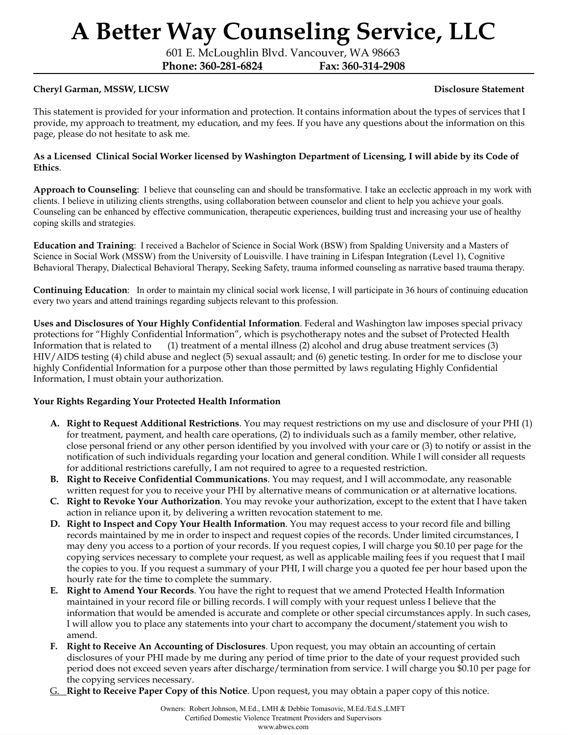601 E. McLoughlin Blvd. Vancouver, WA 98663

**Phone: 360-281-6824 Fax: 360-314-2908**

### **Cheryl Garman, MSSW, LICSW Disclosure Statement**

This statement is provided for your information and protection. It contains information about the types of services that I provide, my approach to treatment, my education, and my fees. If you have any questions about the information on this page, please do not hesitate to ask me.

#### As a Licensed Clinical Social Worker licensed by Washington Department of Licensing, I will abide by its Code of **Ethics**.

**Approach to Counseling**: I believe that counseling can and should be transformative. I take an ecclectic approach in my work with clients. I believe in utilizing clients strengths, using collaboration between counselor and client to help you achieve your goals. Counseling can be enhanced by effective communication, therapeutic experiences, building trust and increasing your use of healthy coping skills and strategies.

**Education and Training**: I received a Bachelor of Science in Social Work (BSW) from Spalding University and a Masters of Science in Social Work (MSSW) from the University of Louisville. I have training in Lifespan Integration (Level 1), Cognitive Behavioral Therapy, Dialectical Behavioral Therapy, Seeking Safety, trauma informed counseling as narrative based trauma therapy.

**Continuing Education**: In order to maintain my clinical social work license, I will participate in 36 hours of continuing education every two years and attend trainings regarding subjects relevant to this profession.

**Uses and Disclosures of Your Highly Confidential Information**. Federal and Washington law imposes special privacy protections for "Highly Confidential Information", which is psychotherapy notes and the subset of Protected Health Information that is related to (1) treatment of a mental illness (2) alcohol and drug abuse treatment services (3) HIV/AIDS testing (4) child abuse and neglect (5) sexual assault; and (6) genetic testing. In order for me to disclose your highly Confidential Information for a purpose other than those permitted by laws regulating Highly Confidential Information, I must obtain your authorization.

### **Your Rights Regarding Your Protected Health Information**

- **A. Right to Request Additional Restrictions**. You may request restrictions on my use and disclosure of your PHI (1) for treatment, payment, and health care operations, (2) to individuals such as a family member, other relative, close personal friend or any other person identified by you involved with your care or (3) to notify or assist in the notification of such individuals regarding your location and general condition. While I will consider all requests for additional restrictions carefully, I am not required to agree to a requested restriction.
- **B. Right to Receive Confidential Communications**. You may request, and I will accommodate, any reasonable written request for you to receive your PHI by alternative means of communication or at alternative locations.
- **C. Right to Revoke Your Authorization**. You may revoke your authorization, except to the extent that I have taken action in reliance upon it, by delivering a written revocation statement to me.
- **D. Right to Inspect and Copy Your Health Information**. You may request access to your record file and billing records maintained by me in order to inspect and request copies of the records. Under limited circumstances, I may deny you access to a portion of your records. If you request copies, I will charge you \$0.10 per page for the copying services necessary to complete your request, as well as applicable mailing fees if you request that I mail the copies to you. If you request a summary of your PHI, I will charge you a quoted fee per hour based upon the hourly rate for the time to complete the summary.
- **E. Right to Amend Your Records**. You have the right to request that we amend Protected Health Information maintained in your record file or billing records. I will comply with your request unless I believe that the information that would be amended is accurate and complete or other special circumstances apply. In such cases, I will allow you to place any statements into your chart to accompany the document/statement you wish to amend.
- **F. Right to Receive An Accounting of Disclosures**. Upon request, you may obtain an accounting of certain disclosures of your PHI made by me during any period of time prior to the date of your request provided such period does not exceed seven years after discharge/termination from service. I will charge you \$0.10 per page for the copying services necessary.
- G. **Right to Receive Paper Copy of this Notice**. Upon request, you may obtain a paper copy of this notice.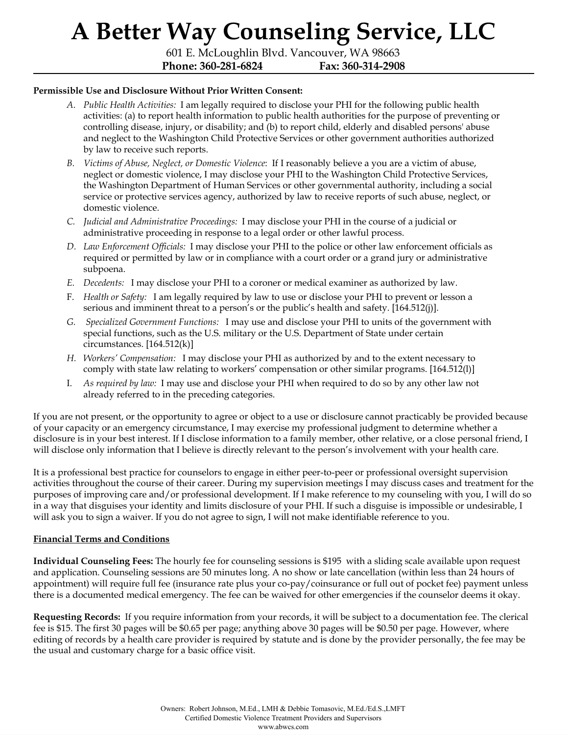601 E. McLoughlin Blvd. Vancouver, WA 98663 **Phone: 360-281-6824 Fax: 360-314-2908**

#### **Permissible Use and Disclosure Without Prior Written Consent:**

- *A. Public Health Activities:* I am legally required to disclose your PHI for the following public health activities: (a) to report health information to public health authorities for the purpose of preventing or controlling disease, injury, or disability; and (b) to report child, elderly and disabled persons' abuse and neglect to the Washington Child Protective Services or other government authorities authorized by law to receive such reports.
- *B. Victims of Abuse, Neglect, or Domestic Violence*: If I reasonably believe a you are a victim of abuse, neglect or domestic violence, I may disclose your PHI to the Washington Child Protective Services, the Washington Department of Human Services or other governmental authority, including a social service or protective services agency, authorized by law to receive reports of such abuse, neglect, or domestic violence.
- *C. Judicial and Administrative Proceedings:* I may disclose your PHI in the course of a judicial or administrative proceeding in response to a legal order or other lawful process.
- *D. Law Enforcement Of icials:* I may disclose your PHI to the police or other law enforcement officials as required or permitted by law or in compliance with a court order or a grand jury or administrative subpoena.
- *E. Decedents:* I may disclose your PHI to a coroner or medical examiner as authorized by law.
- F. *Health or Safety:* I am legally required by law to use or disclose your PHI to prevent or lesson a serious and imminent threat to a person's or the public's health and safety. [164.512(j)].
- *G. Specialized Government Functions:* I may use and disclose your PHI to units of the government with special functions, such as the U.S. military or the U.S. Department of State under certain circumstances.  $[164.512(k)]$
- *H. Workers' Compensation:* I may disclose your PHI as authorized by and to the extent necessary to comply with state law relating to workers' compensation or other similar programs. [164.512(l)]
- I. *As required by law:* I may use and disclose your PHI when required to do so by any other law not already referred to in the preceding categories.

If you are not present, or the opportunity to agree or object to a use or disclosure cannot practicably be provided because of your capacity or an emergency circumstance, I may exercise my professional judgment to determine whether a disclosure is in your best interest. If I disclose information to a family member, other relative, or a close personal friend, I will disclose only information that I believe is directly relevant to the person's involvement with your health care.

It is a professional best practice for counselors to engage in either peer-to-peer or professional oversight supervision activities throughout the course of their career. During my supervision meetings I may discuss cases and treatment for the purposes of improving care and/or professional development. If I make reference to my counseling with you, I will do so in a way that disguises your identity and limits disclosure of your PHI. If such a disguise is impossible or undesirable, I will ask you to sign a waiver. If you do not agree to sign, I will not make identifiable reference to you.

### **Financial Terms and Conditions**

**Individual Counseling Fees:** The hourly fee for counseling sessions is \$195 with a sliding scale available upon request and application. Counseling sessions are 50 minutes long. A no show or late cancellation (within less than 24 hours of appointment) will require full fee (insurance rate plus your co-pay/coinsurance or full out of pocket fee) payment unless there is a documented medical emergency. The fee can be waived for other emergencies if the counselor deems it okay.

**Requesting Records:** If you require information from your records, it will be subject to a documentation fee. The clerical fee is \$15. The first 30 pages will be \$0.65 per page; anything above 30 pages will be \$0.50 per page. However, where editing of records by a health care provider is required by statute and is done by the provider personally, the fee may be the usual and customary charge for a basic office visit.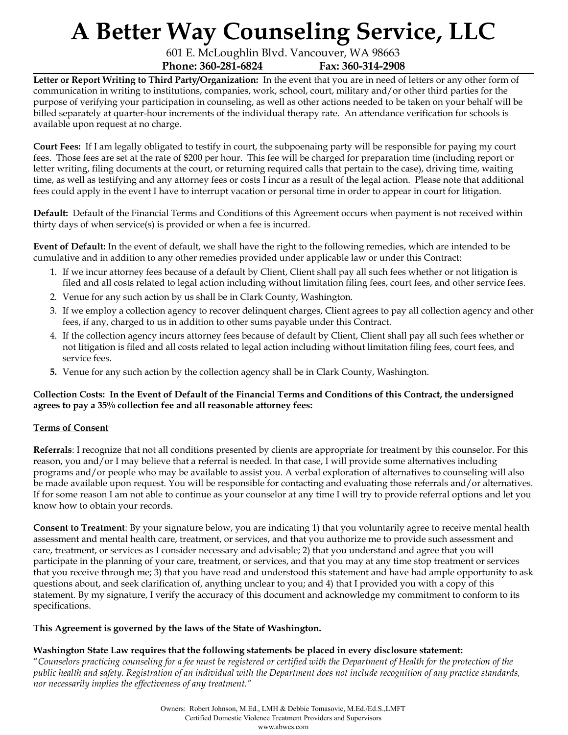601 E. McLoughlin Blvd. Vancouver, WA 98663 **Phone: 360-281-6824 Fax: 360-314-2908**

**Letter or Report Writing to Third Party/Organization:** In the event that you are in need of letters or any other form of communication in writing to institutions, companies, work, school, court, military and/or other third parties for the purpose of verifying your participation in counseling, as well as other actions needed to be taken on your behalf will be billed separately at quarter-hour increments of the individual therapy rate. An attendance verification for schools is available upon request at no charge.

**Court Fees:** If I am legally obligated to testify in court, the subpoenaing party will be responsible for paying my court fees. Those fees are set at the rate of \$200 per hour. This fee will be charged for preparation time (including report or letter writing, filing documents at the court, or returning required calls that pertain to the case), driving time, waiting time, as well as testifying and any attorney fees or costs I incur as a result of the legal action. Please note that additional fees could apply in the event I have to interrupt vacation or personal time in order to appear in court for litigation.

**Default:** Default of the Financial Terms and Conditions of this Agreement occurs when payment is not received within thirty days of when service(s) is provided or when a fee is incurred.

**Event of Default:** In the event of default, we shall have the right to the following remedies, which are intended to be cumulative and in addition to any other remedies provided under applicable law or under this Contract:

- 1. If we incur attorney fees because of a default by Client, Client shall pay all such fees whether or not litigation is filed and all costs related to legal action including without limitation filing fees, court fees, and other service fees.
- 2. Venue for any such action by us shall be in Clark County, Washington.
- 3. If we employ a collection agency to recover delinquent charges, Client agrees to pay all collection agency and other fees, if any, charged to us in addition to other sums payable under this Contract.
- 4. If the collection agency incurs attorney fees because of default by Client, Client shall pay all such fees whether or not litigation is filed and all costs related to legal action including without limitation filing fees, court fees, and service fees.
- **5.** Venue for any such action by the collection agency shall be in Clark County, Washington.

### Collection Costs: In the Event of Default of the Financial Terms and Conditions of this Contract, the undersigned **agrees to pay a 35% collection fee and all reasonable attorney fees:**

### **Terms of Consent**

**Referrals**: I recognize that not all conditions presented by clients are appropriate for treatment by this counselor. For this reason, you and/or I may believe that a referral is needed. In that case, I will provide some alternatives including programs and/or people who may be available to assist you. A verbal exploration of alternatives to counseling will also be made available upon request. You will be responsible for contacting and evaluating those referrals and/or alternatives. If for some reason I am not able to continue as your counselor at any time I will try to provide referral options and let you know how to obtain your records.

**Consent to Treatment**: By your signature below, you are indicating 1) that you voluntarily agree to receive mental health assessment and mental health care, treatment, or services, and that you authorize me to provide such assessment and care, treatment, or services as I consider necessary and advisable; 2) that you understand and agree that you will participate in the planning of your care, treatment, or services, and that you may at any time stop treatment or services that you receive through me; 3) that you have read and understood this statement and have had ample opportunity to ask questions about, and seek clarification of, anything unclear to you; and 4) that I provided you with a copy of this statement. By my signature, I verify the accuracy of this document and acknowledge my commitment to conform to its specifications.

### **This Agreement is governed by the laws of the State of Washington.**

### **Washington State Law requires that the following statements be placed in every disclosure statement:**

"Counselors practicing counseling for a fee must be registered or certified with the Department of Health for the protection of the public health and safety. Registration of an individual with the Department does not include recognition of any practice standards, *nor necessarily implies the ef ectiveness of any treatment."*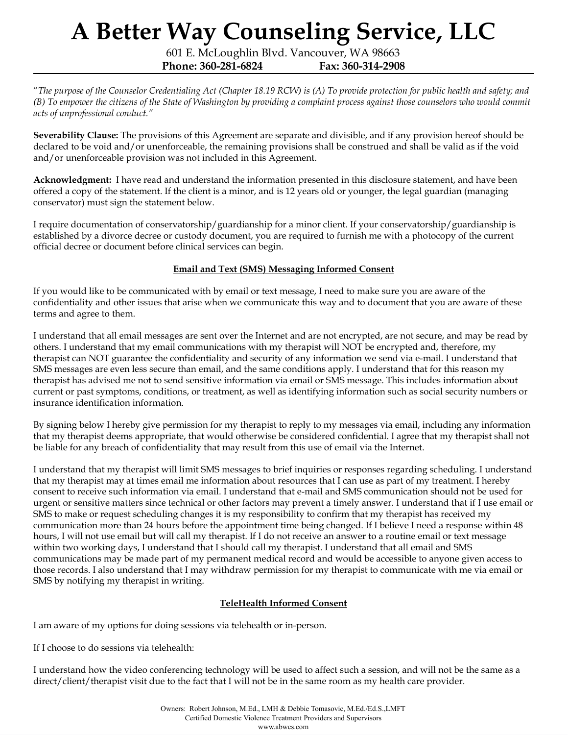601 E. McLoughlin Blvd. Vancouver, WA 98663 **Phone: 360-281-6824 Fax: 360-314-2908**

"The purpose of the Counselor Credentialing Act (Chapter 18.19 RCW) is (A) To provide protection for public health and safety; and (B) To empower the citizens of the State of Washington by providing a complaint process against those counselors who would commit *acts of unprofessional conduct."*

**Severability Clause:** The provisions of this Agreement are separate and divisible, and if any provision hereof should be declared to be void and/or unenforceable, the remaining provisions shall be construed and shall be valid as if the void and/or unenforceable provision was not included in this Agreement.

**Acknowledgment:** I have read and understand the information presented in this disclosure statement, and have been offered a copy of the statement. If the client is a minor, and is 12 years old or younger, the legal guardian (managing conservator) must sign the statement below.

I require documentation of conservatorship/guardianship for a minor client. If your conservatorship/guardianship is established by a divorce decree or custody document, you are required to furnish me with a photocopy of the current official decree or document before clinical services can begin.

### **Email and Text (SMS) Messaging Informed Consent**

If you would like to be communicated with by email or text message, I need to make sure you are aware of the confidentiality and other issues that arise when we communicate this way and to document that you are aware of these terms and agree to them.

I understand that all email messages are sent over the Internet and are not encrypted, are not secure, and may be read by others. I understand that my email communications with my therapist will NOT be encrypted and, therefore, my therapist can NOT guarantee the confidentiality and security of any information we send via e-mail. I understand that SMS messages are even less secure than email, and the same conditions apply. I understand that for this reason my therapist has advised me not to send sensitive information via email or SMS message. This includes information about current or past symptoms, conditions, or treatment, as well as identifying information such as social security numbers or insurance identification information.

By signing below I hereby give permission for my therapist to reply to my messages via email, including any information that my therapist deems appropriate, that would otherwise be considered confidential. I agree that my therapist shall not be liable for any breach of confidentiality that may result from this use of email via the Internet.

I understand that my therapist will limit SMS messages to brief inquiries or responses regarding scheduling. I understand that my therapist may at times email me information about resources that I can use as part of my treatment. I hereby consent to receive such information via email. I understand that e-mail and SMS communication should not be used for urgent or sensitive matters since technical or other factors may prevent a timely answer. I understand that if I use email or SMS to make or request scheduling changes it is my responsibility to confirm that my therapist has received my communication more than 24 hours before the appointment time being changed. If I believe I need a response within 48 hours, I will not use email but will call my therapist. If I do not receive an answer to a routine email or text message within two working days, I understand that I should call my therapist. I understand that all email and SMS communications may be made part of my permanent medical record and would be accessible to anyone given access to those records. I also understand that I may withdraw permission for my therapist to communicate with me via email or SMS by notifying my therapist in writing.

### **TeleHealth Informed Consent**

I am aware of my options for doing sessions via telehealth or in-person.

If I choose to do sessions via telehealth:

I understand how the video conferencing technology will be used to affect such a session, and will not be the same as a direct/client/therapist visit due to the fact that I will not be in the same room as my health care provider.